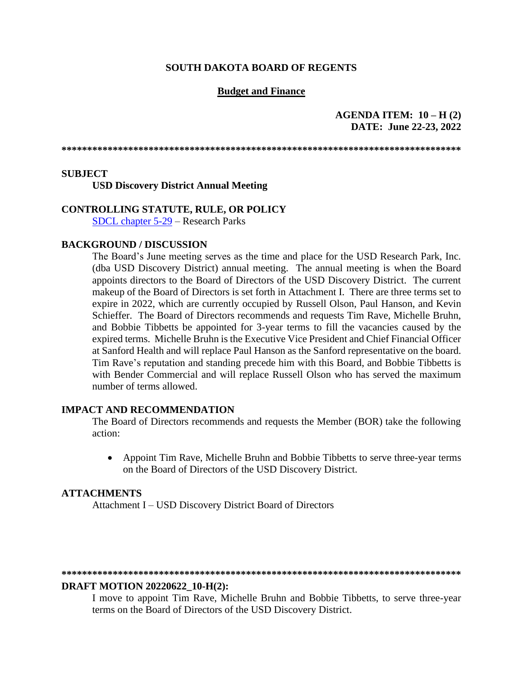## **SOUTH DAKOTA BOARD OF REGENTS**

## **Budget and Finance**

## **AGENDA ITEM: 10 – H (2) DATE: June 22-23, 2022**

**\*\*\*\*\*\*\*\*\*\*\*\*\*\*\*\*\*\*\*\*\*\*\*\*\*\*\*\*\*\*\*\*\*\*\*\*\*\*\*\*\*\*\*\*\*\*\*\*\*\*\*\*\*\*\*\*\*\*\*\*\*\*\*\*\*\*\*\*\*\*\*\*\*\*\*\*\*\***

### **SUBJECT**

**USD Discovery District Annual Meeting**

## **CONTROLLING STATUTE, RULE, OR POLICY**

[SDCL chapter 5-29](https://sdlegislature.gov/Statutes/Codified_Laws/DisplayStatute.aspx?Type=Statute&Statute=5-29) – Research Parks

## **BACKGROUND / DISCUSSION**

The Board's June meeting serves as the time and place for the USD Research Park, Inc. (dba USD Discovery District) annual meeting. The annual meeting is when the Board appoints directors to the Board of Directors of the USD Discovery District. The current makeup of the Board of Directors is set forth in Attachment I. There are three terms set to expire in 2022, which are currently occupied by Russell Olson, Paul Hanson, and Kevin Schieffer. The Board of Directors recommends and requests Tim Rave, Michelle Bruhn, and Bobbie Tibbetts be appointed for 3-year terms to fill the vacancies caused by the expired terms. Michelle Bruhn is the Executive Vice President and Chief Financial Officer at Sanford Health and will replace Paul Hanson as the Sanford representative on the board. Tim Rave's reputation and standing precede him with this Board, and Bobbie Tibbetts is with Bender Commercial and will replace Russell Olson who has served the maximum number of terms allowed.

### **IMPACT AND RECOMMENDATION**

The Board of Directors recommends and requests the Member (BOR) take the following action:

• Appoint Tim Rave, Michelle Bruhn and Bobbie Tibbetts to serve three-year terms on the Board of Directors of the USD Discovery District.

### **ATTACHMENTS**

Attachment I – USD Discovery District Board of Directors

#### **\*\*\*\*\*\*\*\*\*\*\*\*\*\*\*\*\*\*\*\*\*\*\*\*\*\*\*\*\*\*\*\*\*\*\*\*\*\*\*\*\*\*\*\*\*\*\*\*\*\*\*\*\*\*\*\*\*\*\*\*\*\*\*\*\*\*\*\*\*\*\*\*\*\*\*\*\*\***

### **DRAFT MOTION 20220622\_10-H(2):**

I move to appoint Tim Rave, Michelle Bruhn and Bobbie Tibbetts, to serve three-year terms on the Board of Directors of the USD Discovery District.